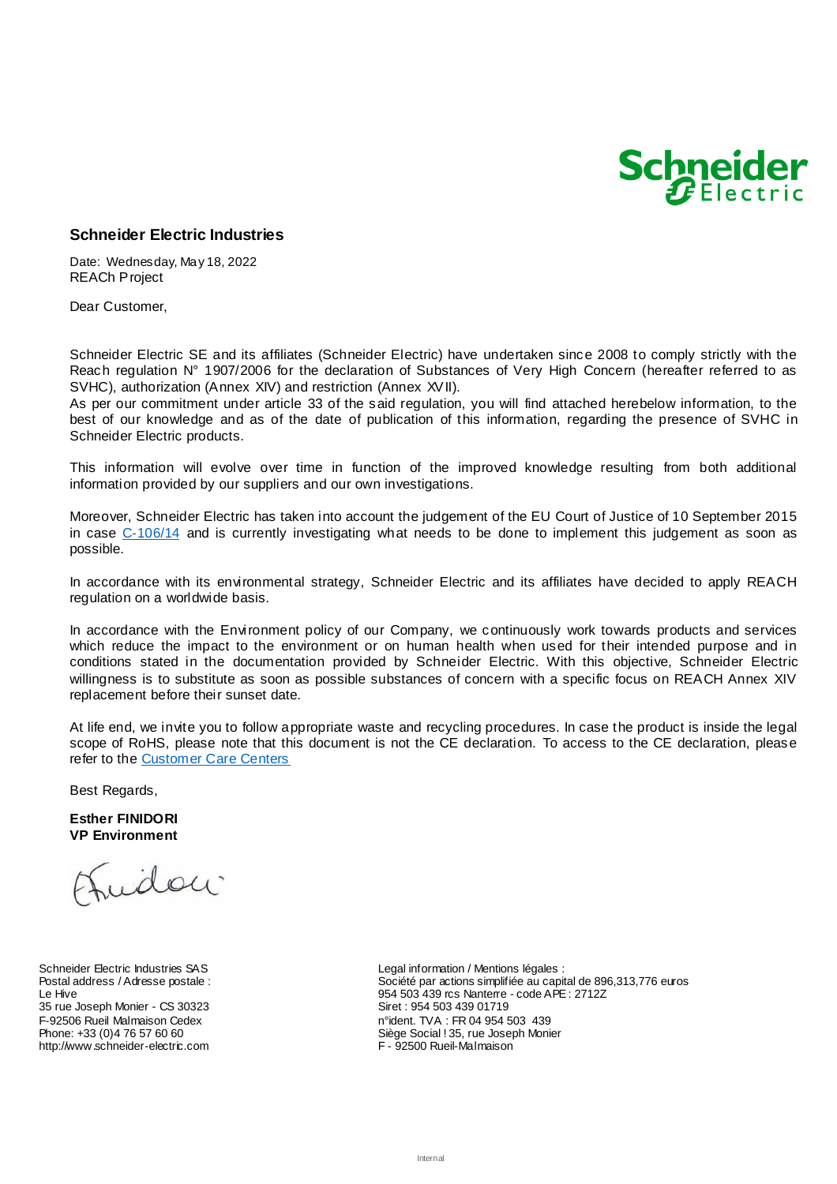

## **Schneider Electric Industries**

Date: Wednesday, May 18, 2022 REACh Project

Dear Customer,

Schneider Electric SE and its affiliates (Schneider Electric) have undertaken since 2008 to comply strictly with the Reach regulation N° 1907/2006 for the declaration of Substances of Very High Concern (hereafter referred to as SVHC), authorization (Annex XIV) and restriction (Annex XVII).

As per our commitment under article 33 of the said regulation, you will find attached herebelow information, to the best of our knowledge and as of the date of publication of this information, regarding the presence of SVHC in Schneider Electric products.

This information will evolve over time in function of the improved knowledge resulting from both additional information provided by our suppliers and our own investigations.

Moreover, Schneider Electric has taken into account the judgement of the EU Court of Justice of 10 September 2015 in case [C-106/14](http://curia.europa.eu/juris/liste.jsf?language=en&td=ALL&num=C-106/14) and is currently investigating what needs to be done to implement this judgement as soon as possible.

In accordance with its environmental strategy, Schneider Electric and its affiliates have decided to apply REACH regulation on a worldwide basis.

In accordance with the Environment policy of our Company, we continuously work towards products and services which reduce the impact to the environment or on human health when used for their intended purpose and in conditions stated in the documentation provided by Schneider Electric. With this objective, Schneider Electric willingness is to substitute as soon as possible substances of concern with a specific focus on REACH Annex XIV replacement before their sunset date.

At life end, we invite you to follow appropriate waste and recycling procedures. In case the product is inside the legal scope of RoHS, please note that this document is not the CE declaration. To access to the CE declaration, please refer to the [Customer Care Centers](http://www.schneider-electric.com/b2b/en/support/customer-care/contact-schneider-electric.jsp)

Best Regards,

**Esther FINIDORI VP Environment**

riday

Schneider Electric Industries SAS Postal address / Adresse postale : Le Hive 35 rue Joseph Monier - CS 30323 F-92506 Rueil Malmaison Cedex Phone: +33 (0)4 76 57 60 60 http://www.schneider-electric.com

Legal information / Mentions légales : Société par actions simplifiée au capital de 896,313,776 euros 954 503 439 rcs Nanterre - code APE : 2712Z Siret : 954 503 439 01719 n°ident. TVA : FR 04 954 503 439 Siège Social ! 35, rue Joseph Monier F - 92500 Rueil-Malmaison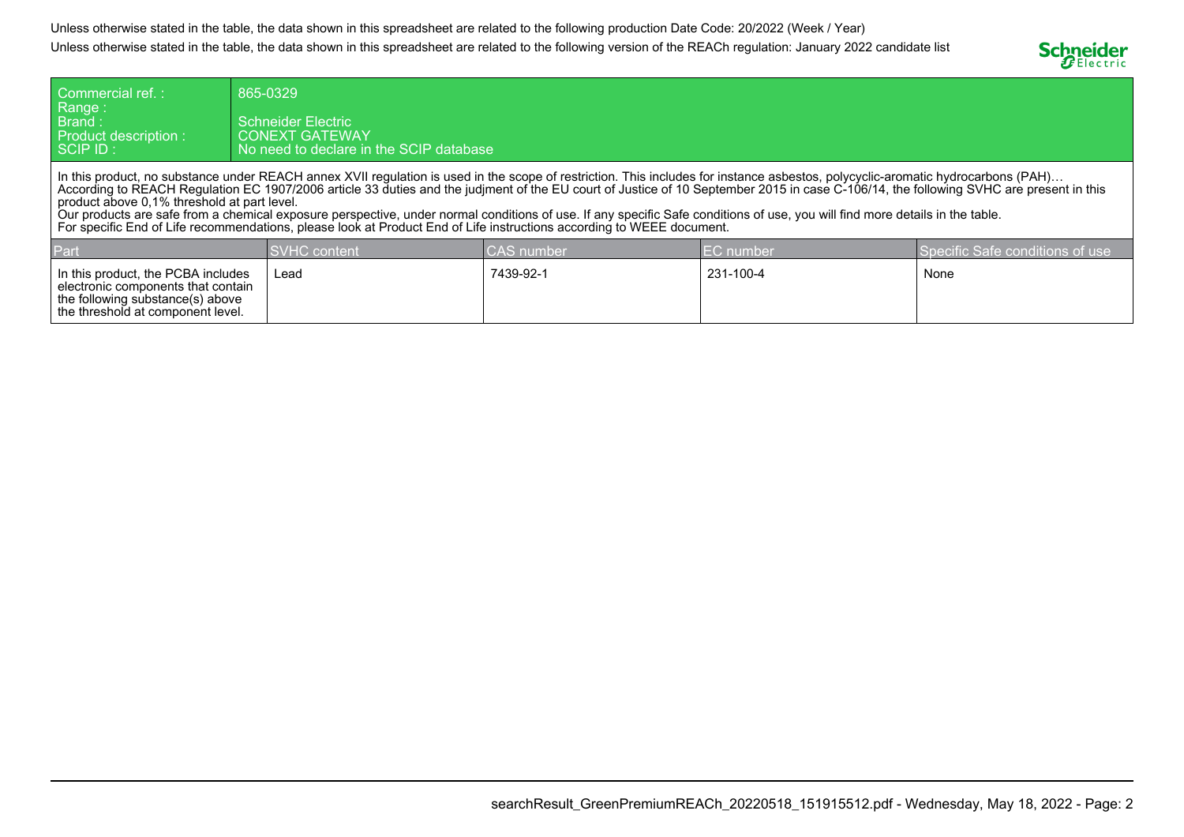Unless otherwise stated in the table, the data shown in this spreadsheet are related to the following production Date Code: 20/2022 (Week / Year)Unless otherwise stated in the table, the data shown in this spreadsheet are related to the following version of the REACh regulation: January 2022 candidate list



| Commercial ref.:<br>Range:<br>Brand :<br>Product description :<br>SCIP ID :                                                                                                                                                                                                                                                                                                                                                                                                                                                                                                                                                                                                                                                        | 865-0329<br><b>Schneider Electric</b><br><b>CONEXT GATEWAY</b><br>No need to declare in the SCIP database |  |  |  |
|------------------------------------------------------------------------------------------------------------------------------------------------------------------------------------------------------------------------------------------------------------------------------------------------------------------------------------------------------------------------------------------------------------------------------------------------------------------------------------------------------------------------------------------------------------------------------------------------------------------------------------------------------------------------------------------------------------------------------------|-----------------------------------------------------------------------------------------------------------|--|--|--|
| In this product, no substance under REACH annex XVII regulation is used in the scope of restriction. This includes for instance asbestos, polycyclic-aromatic hydrocarbons (PAH)<br>According to REACH Regulation EC 1907/2006 article 33 duties and the judiment of the EU court of Justice of 10 September 2015 in case C-106/14, the following SVHC are present in this<br>product above 0.1% threshold at part level.<br>Our products are safe from a chemical exposure perspective, under normal conditions of use. If any specific Safe conditions of use, you will find more details in the table.<br>For specific End of Life recommendations, please look at Product End of Life instructions according to WEEE document. |                                                                                                           |  |  |  |

| Part                                                                                                                                                | <b>SVHC</b> content | <b>CAS</b> number | <b>IEC</b> number | Specific Safe conditions of use |
|-----------------------------------------------------------------------------------------------------------------------------------------------------|---------------------|-------------------|-------------------|---------------------------------|
| In this product, the PCBA includes<br>l electronic components that contain<br>the following substance(s) above<br>the threshold at component level. | Lead                | 7439-92-1         | 231-100-4         | None                            |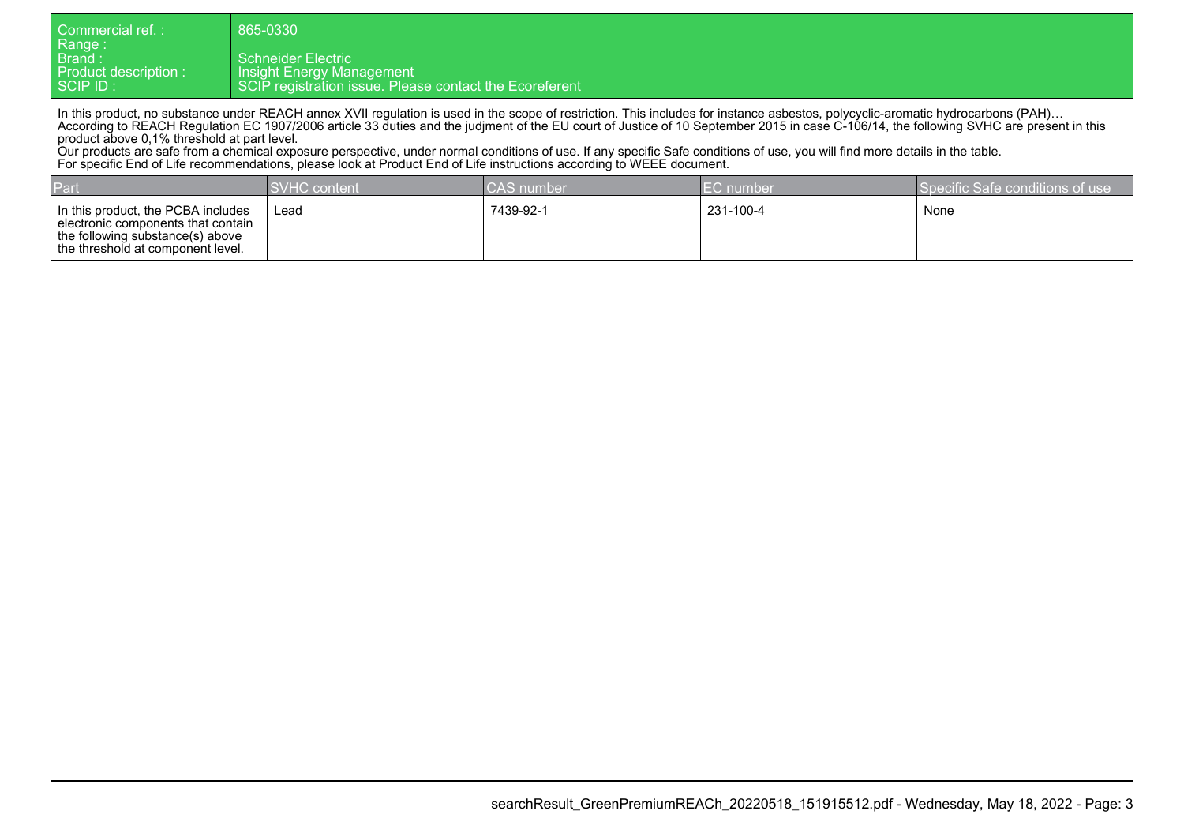| Commercial ref. :<br>  Range :<br>l Brand : l<br>Product description :<br>$\overline{\phantom{a}}$ SCIP ID :                                                                                                                                                                                                                                                                                                                                                                                                                                                                                                                                                                                                                       | 865-0330<br><b>Schneider Electric</b><br>Insight Energy Management<br>SCIP registration issue. Please contact the Ecoreferent |                   |                  |                                 |  |  |
|------------------------------------------------------------------------------------------------------------------------------------------------------------------------------------------------------------------------------------------------------------------------------------------------------------------------------------------------------------------------------------------------------------------------------------------------------------------------------------------------------------------------------------------------------------------------------------------------------------------------------------------------------------------------------------------------------------------------------------|-------------------------------------------------------------------------------------------------------------------------------|-------------------|------------------|---------------------------------|--|--|
| In this product, no substance under REACH annex XVII regulation is used in the scope of restriction. This includes for instance asbestos, polycyclic-aromatic hydrocarbons (PAH)<br>According to REACH Regulation EC 1907/2006 article 33 duties and the judiment of the EU court of Justice of 10 September 2015 in case C-106/14, the following SVHC are present in this<br>product above 0.1% threshold at part level.<br>Our products are safe from a chemical exposure perspective, under normal conditions of use. If any specific Safe conditions of use, you will find more details in the table.<br>For specific End of Life recommendations, please look at Product End of Life instructions according to WEEE document. |                                                                                                                               |                   |                  |                                 |  |  |
| Part                                                                                                                                                                                                                                                                                                                                                                                                                                                                                                                                                                                                                                                                                                                               | <b>SVHC</b> content                                                                                                           | <b>CAS</b> number | <b>EC</b> number | Specific Safe conditions of use |  |  |
| In this product, the PCBA includes<br>electronic components that contain<br>the following substance(s) above<br>the threshold at component level.                                                                                                                                                                                                                                                                                                                                                                                                                                                                                                                                                                                  | Lead                                                                                                                          | 7439-92-1         | 231-100-4        | None                            |  |  |